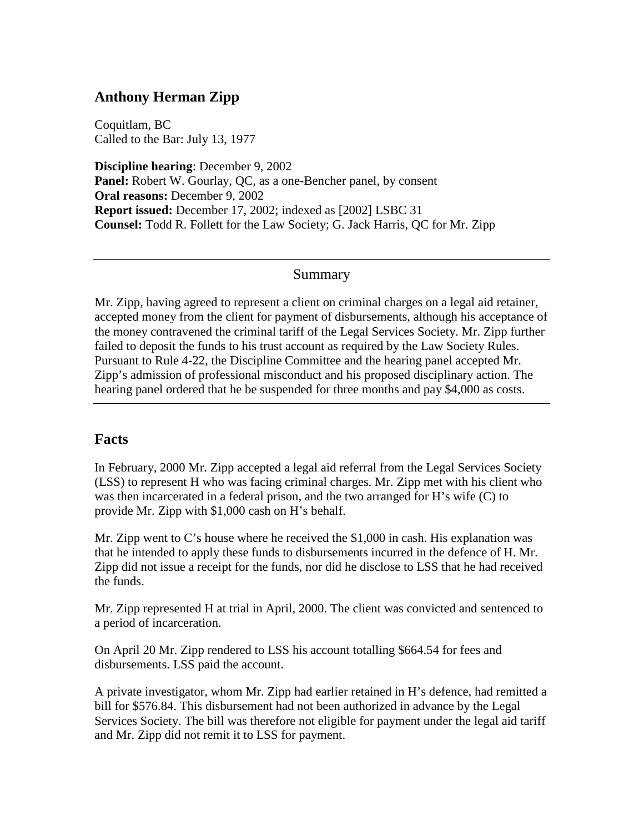## **Anthony Herman Zipp**

Coquitlam, BC Called to the Bar: July 13, 1977

**Discipline hearing**: December 9, 2002 **Panel:** Robert W. Gourlay, QC, as a one-Bencher panel, by consent **Oral reasons:** December 9, 2002 **Report issued:** December 17, 2002; indexed as [2002] LSBC 31 **Counsel:** Todd R. Follett for the Law Society; G. Jack Harris, QC for Mr. Zipp

## Summary

Mr. Zipp, having agreed to represent a client on criminal charges on a legal aid retainer, accepted money from the client for payment of disbursements, although his acceptance of the money contravened the criminal tariff of the Legal Services Society. Mr. Zipp further failed to deposit the funds to his trust account as required by the Law Society Rules. Pursuant to Rule 4-22, the Discipline Committee and the hearing panel accepted Mr. Zipp's admission of professional misconduct and his proposed disciplinary action. The hearing panel ordered that he be suspended for three months and pay \$4,000 as costs.

## **Facts**

In February, 2000 Mr. Zipp accepted a legal aid referral from the Legal Services Society (LSS) to represent H who was facing criminal charges. Mr. Zipp met with his client who was then incarcerated in a federal prison, and the two arranged for H's wife (C) to provide Mr. Zipp with \$1,000 cash on H's behalf.

Mr. Zipp went to C's house where he received the \$1,000 in cash. His explanation was that he intended to apply these funds to disbursements incurred in the defence of H. Mr. Zipp did not issue a receipt for the funds, nor did he disclose to LSS that he had received the funds.

Mr. Zipp represented H at trial in April, 2000. The client was convicted and sentenced to a period of incarceration.

On April 20 Mr. Zipp rendered to LSS his account totalling \$664.54 for fees and disbursements. LSS paid the account.

A private investigator, whom Mr. Zipp had earlier retained in H's defence, had remitted a bill for \$576.84. This disbursement had not been authorized in advance by the Legal Services Society. The bill was therefore not eligible for payment under the legal aid tariff and Mr. Zipp did not remit it to LSS for payment.